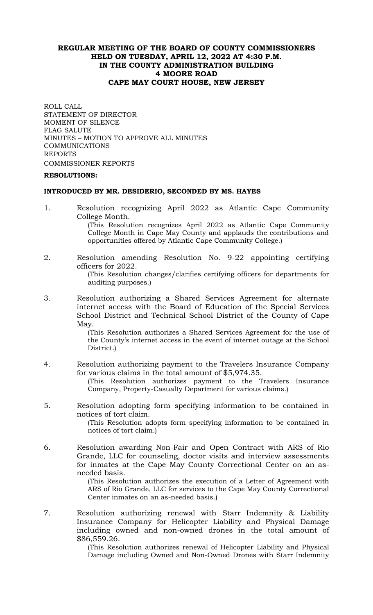## **REGULAR MEETING OF THE BOARD OF COUNTY COMMISSIONERS HELD ON TUESDAY, APRIL 12, 2022 AT 4:30 P.M. IN THE COUNTY ADMINISTRATION BUILDING 4 MOORE ROAD CAPE MAY COURT HOUSE, NEW JERSEY**

ROLL CALL STATEMENT OF DIRECTOR MOMENT OF SILENCE FLAG SALUTE MINUTES – MOTION TO APPROVE ALL MINUTES COMMUNICATIONS REPORTS COMMISSIONER REPORTS

#### **RESOLUTIONS:**

#### **INTRODUCED BY MR. DESIDERIO, SECONDED BY MS. HAYES**

1. Resolution recognizing April 2022 as Atlantic Cape Community College Month.

(This Resolution recognizes April 2022 as Atlantic Cape Community College Month in Cape May County and applauds the contributions and opportunities offered by Atlantic Cape Community College.)

- 2. Resolution amending Resolution No. 9-22 appointing certifying officers for 2022. (This Resolution changes/clarifies certifying officers for departments for auditing purposes.)
- 3. Resolution authorizing a Shared Services Agreement for alternate internet access with the Board of Education of the Special Services School District and Technical School District of the County of Cape May.

(This Resolution authorizes a Shared Services Agreement for the use of the County's internet access in the event of internet outage at the School District.)

4. Resolution authorizing payment to the Travelers Insurance Company for various claims in the total amount of \$5,974.35.

(This Resolution authorizes payment to the Travelers Insurance Company, Property-Casualty Department for various claims.)

5. Resolution adopting form specifying information to be contained in notices of tort claim.

(This Resolution adopts form specifying information to be contained in notices of tort claim.)

6. Resolution awarding Non-Fair and Open Contract with ARS of Rio Grande, LLC for counseling, doctor visits and interview assessments for inmates at the Cape May County Correctional Center on an asneeded basis.

(This Resolution authorizes the execution of a Letter of Agreement with ARS of Rio Grande, LLC for services to the Cape May County Correctional Center inmates on an as-needed basis.)

7. Resolution authorizing renewal with Starr Indemnity & Liability Insurance Company for Helicopter Liability and Physical Damage including owned and non-owned drones in the total amount of \$86,559.26.

> (This Resolution authorizes renewal of Helicopter Liability and Physical Damage including Owned and Non-Owned Drones with Starr Indemnity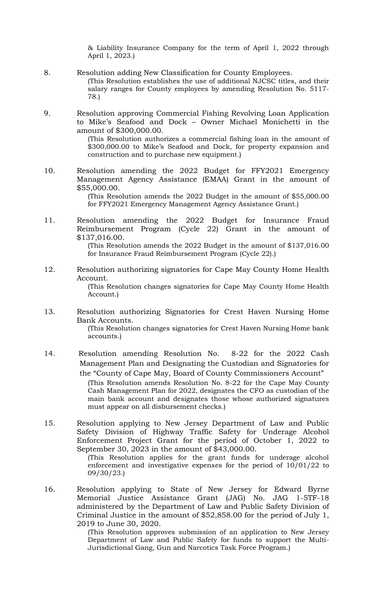& Liability Insurance Company for the term of April 1, 2022 through April 1, 2023.)

- 8. Resolution adding New Classification for County Employees. (This Resolution establishes the use of additional NJCSC titles, and their salary ranges for County employees by amending Resolution No. 5117- 78.)
- 9. Resolution approving Commercial Fishing Revolving Loan Application to Mike's Seafood and Dock – Owner Michael Monichetti in the amount of \$300,000.00.

(This Resolution authorizes a commercial fishing loan in the amount of \$300,000.00 to Mike's Seafood and Dock, for property expansion and construction and to purchase new equipment.)

10. Resolution amending the 2022 Budget for FFY2021 Emergency Management Agency Assistance (EMAA) Grant in the amount of \$55,000.00.

(This Resolution amends the 2022 Budget in the amount of \$55,000.00 for FFY2021 Emergency Management Agency Assistance Grant.)

11. Resolution amending the 2022 Budget for Insurance Fraud Reimbursement Program (Cycle 22) Grant in the amount of \$137,016.00.

(This Resolution amends the 2022 Budget in the amount of \$137,016.00 for Insurance Fraud Reimbursement Program (Cycle 22).)

- 12. Resolution authorizing signatories for Cape May County Home Health Account. (This Resolution changes signatories for Cape May County Home Health Account.)
- 13. Resolution authorizing Signatories for Crest Haven Nursing Home Bank Accounts.

(This Resolution changes signatories for Crest Haven Nursing Home bank accounts.)

- 14. Resolution amending Resolution No. 8-22 for the 2022 Cash Management Plan and Designating the Custodian and Signatories for the "County of Cape May, Board of County Commissioners Account" (This Resolution amends Resolution No. 8-22 for the Cape May County Cash Management Plan for 2022, designates the CFO as custodian of the main bank account and designates those whose authorized signatures must appear on all disbursement checks.)
- 15. Resolution applying to New Jersey Department of Law and Public Safety Division of Highway Traffic Safety for Underage Alcohol Enforcement Project Grant for the period of October 1, 2022 to September 30, 2023 in the amount of \$43,000.00.

(This Resolution applies for the grant funds for underage alcohol enforcement and investigative expenses for the period of 10/01/22 to 09/30/23.)

16. Resolution applying to State of New Jersey for Edward Byrne Memorial Justice Assistance Grant (JAG) No. JAG 1-5TF-18 administered by the Department of Law and Public Safety Division of Criminal Justice in the amount of \$52,858.00 for the period of July 1, 2019 to June 30, 2020.

(This Resolution approves submission of an application to New Jersey Department of Law and Public Safety for funds to support the Multi-Jurisdictional Gang, Gun and Narcotics Task Force Program.)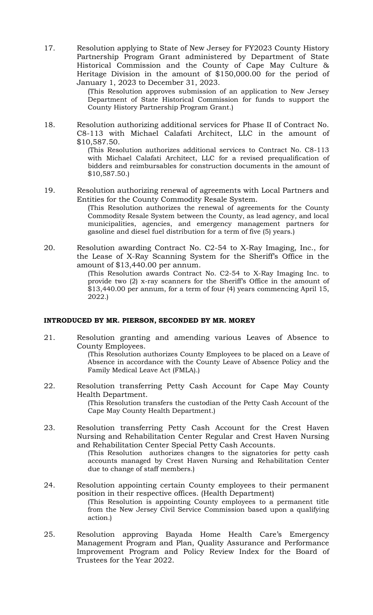17. Resolution applying to State of New Jersey for FY2023 County History Partnership Program Grant administered by Department of State Historical Commission and the County of Cape May Culture & Heritage Division in the amount of \$150,000.00 for the period of January 1, 2023 to December 31, 2023.

> (This Resolution approves submission of an application to New Jersey Department of State Historical Commission for funds to support the County History Partnership Program Grant.)

18. Resolution authorizing additional services for Phase II of Contract No. C8-113 with Michael Calafati Architect, LLC in the amount of \$10,587.50.

(This Resolution authorizes additional services to Contract No. C8-113 with Michael Calafati Architect, LLC for a revised prequalification of bidders and reimbursables for construction documents in the amount of \$10,587.50.)

19. Resolution authorizing renewal of agreements with Local Partners and Entities for the County Commodity Resale System.

> (This Resolution authorizes the renewal of agreements for the County Commodity Resale System between the County, as lead agency, and local municipalities, agencies, and emergency management partners for gasoline and diesel fuel distribution for a term of five (5) years.)

20. Resolution awarding Contract No. C2-54 to X-Ray Imaging, Inc., for the Lease of X-Ray Scanning System for the Sheriff's Office in the amount of \$13,440.00 per annum.

(This Resolution awards Contract No. C2-54 to X-Ray Imaging Inc. to provide two (2) x-ray scanners for the Sheriff's Office in the amount of \$13,440.00 per annum, for a term of four (4) years commencing April 15, 2022.)

## **INTRODUCED BY MR. PIERSON, SECONDED BY MR. MOREY**

21. Resolution granting and amending various Leaves of Absence to County Employees.

(This Resolution authorizes County Employees to be placed on a Leave of Absence in accordance with the County Leave of Absence Policy and the Family Medical Leave Act (FMLA).)

22. Resolution transferring Petty Cash Account for Cape May County Health Department.

(This Resolution transfers the custodian of the Petty Cash Account of the Cape May County Health Department.)

23. Resolution transferring Petty Cash Account for the Crest Haven Nursing and Rehabilitation Center Regular and Crest Haven Nursing and Rehabilitation Center Special Petty Cash Accounts.

(This Resolution authorizes changes to the signatories for petty cash accounts managed by Crest Haven Nursing and Rehabilitation Center due to change of staff members.)

- 24. Resolution appointing certain County employees to their permanent position in their respective offices. (Health Department) (This Resolution is appointing County employees to a permanent title from the New Jersey Civil Service Commission based upon a qualifying action*.*)
- 25. Resolution approving Bayada Home Health Care's Emergency Management Program and Plan, Quality Assurance and Performance Improvement Program and Policy Review Index for the Board of Trustees for the Year 2022.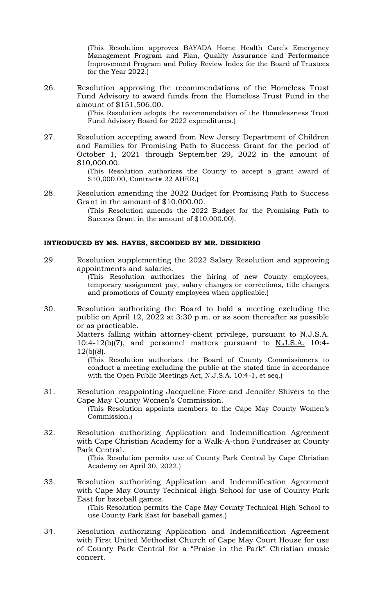(This Resolution approves BAYADA Home Health Care's Emergency Management Program and Plan, Quality Assurance and Performance Improvement Program and Policy Review Index for the Board of Trustees for the Year 2022.)

26. Resolution approving the recommendations of the Homeless Trust Fund Advisory to award funds from the Homeless Trust Fund in the amount of \$151,506.00.

> (This Resolution adopts the recommendation of the Homelessness Trust Fund Advisory Board for 2022 expenditures.)

27. Resolution accepting award from New Jersey Department of Children and Families for Promising Path to Success Grant for the period of October 1, 2021 through September 29, 2022 in the amount of \$10,000.00.

> (This Resolution authorizes the County to accept a grant award of \$10,000.00, Contract# 22 AHER.)

28. Resolution amending the 2022 Budget for Promising Path to Success Grant in the amount of \$10,000.00. (This Resolution amends the 2022 Budget for the Promising Path to Success Grant in the amount of \$10,000.00).

#### **INTRODUCED BY MS. HAYES, SECONDED BY MR. DESIDERIO**

29. Resolution supplementing the 2022 Salary Resolution and approving appointments and salaries.

> (This Resolution authorizes the hiring of new County employees, temporary assignment pay, salary changes or corrections, title changes and promotions of County employees when applicable.)

30. Resolution authorizing the Board to hold a meeting excluding the public on April 12, 2022 at 3:30 p.m. or as soon thereafter as possible or as practicable. Matters falling within attorney-client privilege, pursuant to N.J.S.A.

10:4-12(b)(7), and personnel matters pursuant to N.J.S.A. 10:4- 12(b)(8).

(This Resolution authorizes the Board of County Commissioners to conduct a meeting excluding the public at the stated time in accordance with the Open Public Meetings Act, N.J.S.A. 10:4-1, et seq.)

31. Resolution reappointing Jacqueline Fiore and Jennifer Shivers to the Cape May County Women's Commission. (This Resolution appoints members to the Cape May County Women's

Commission.)

32. Resolution authorizing Application and Indemnification Agreement with Cape Christian Academy for a Walk-A-thon Fundraiser at County Park Central.

(This Resolution permits use of County Park Central by Cape Christian Academy on April 30, 2022.)

33. Resolution authorizing Application and Indemnification Agreement with Cape May County Technical High School for use of County Park East for baseball games.

> (This Resolution permits the Cape May County Technical High School to use County Park East for baseball games.)

34. Resolution authorizing Application and Indemnification Agreement with First United Methodist Church of Cape May Court House for use of County Park Central for a "Praise in the Park" Christian music concert.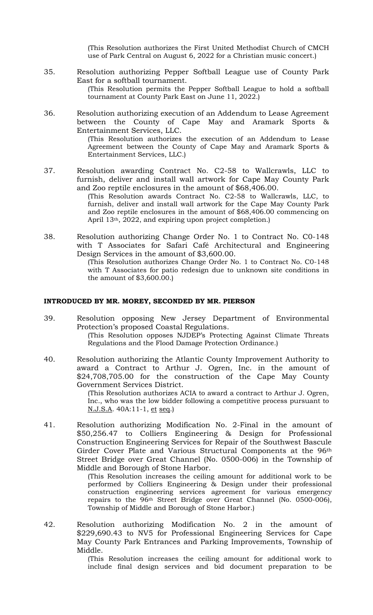(This Resolution authorizes the First United Methodist Church of CMCH use of Park Central on August 6, 2022 for a Christian music concert.)

- 35. Resolution authorizing Pepper Softball League use of County Park East for a softball tournament. (This Resolution permits the Pepper Softball League to hold a softball tournament at County Park East on June 11, 2022.)
- 36. Resolution authorizing execution of an Addendum to Lease Agreement between the County of Cape May and Aramark Sports & Entertainment Services, LLC.

(This Resolution authorizes the execution of an Addendum to Lease Agreement between the County of Cape May and Aramark Sports & Entertainment Services, LLC.)

37. Resolution awarding Contract No. C2-58 to Wallcrawls, LLC to furnish, deliver and install wall artwork for Cape May County Park and Zoo reptile enclosures in the amount of \$68,406.00.

(This Resolution awards Contract No. C2-58 to Wallcrawls, LLC, to furnish, deliver and install wall artwork for the Cape May County Park and Zoo reptile enclosures in the amount of \$68,406.00 commencing on April 13<sup>th</sup>, 2022, and expiring upon project completion.)

38. Resolution authorizing Change Order No. 1 to Contract No. C0-148 with T Associates for Safari Café Architectural and Engineering Design Services in the amount of \$3,600.00. (This Resolution authorizes Change Order No. 1 to Contract No. C0-148

with T Associates for patio redesign due to unknown site conditions in the amount of \$3,600.00.)

#### **INTRODUCED BY MR. MOREY, SECONDED BY MR. PIERSON**

- 39. Resolution opposing New Jersey Department of Environmental Protection's proposed Coastal Regulations. (This Resolution opposes NJDEP's Protecting Against Climate Threats Regulations and the Flood Damage Protection Ordinance.)
- 40. Resolution authorizing the Atlantic County Improvement Authority to award a Contract to Arthur J. Ogren, Inc. in the amount of \$24,708,705.00 for the construction of the Cape May County Government Services District.

(This Resolution authorizes ACIA to award a contract to Arthur J. Ogren, Inc., who was the low bidder following a competitive process pursuant to N.J.S.A. 40A:11-1, et seq.)

41. Resolution authorizing Modification No. 2-Final in the amount of \$50,256.47 to Colliers Engineering & Design for Professional Construction Engineering Services for Repair of the Southwest Bascule Girder Cover Plate and Various Structural Components at the 96th Street Bridge over Great Channel (No. 0500-006) in the Township of Middle and Borough of Stone Harbor.

> (This Resolution increases the ceiling amount for additional work to be performed by Colliers Engineering & Design under their professional construction engineering services agreement for various emergency repairs to the 96th Street Bridge over Great Channel (No. 0500-006), Township of Middle and Borough of Stone Harbor.)

42. Resolution authorizing Modification No. 2 in the amount of \$229,690.43 to NV5 for Professional Engineering Services for Cape May County Park Entrances and Parking Improvements, Township of Middle.

(This Resolution increases the ceiling amount for additional work to include final design services and bid document preparation to be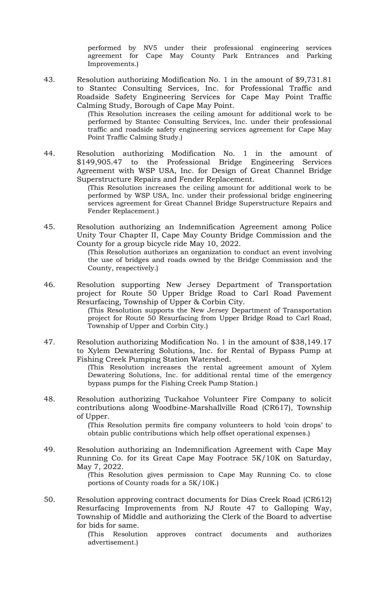performed by NV5 under their professional engineering services agreement for Cape May County Park Entrances and Parking Improvements.)

43. Resolution authorizing Modification No. 1 in the amount of \$9,731.81 to Stantec Consulting Services, Inc. for Professional Traffic and Roadside Safety Engineering Services for Cape May Point Traffic Calming Study, Borough of Cape May Point.

(This Resolution increases the ceiling amount for additional work to be performed by Stantec Consulting Services, Inc. under their professional traffic and roadside safety engineering services agreement for Cape May Point Traffic Calming Study.)

44. Resolution authorizing Modification No. 1 in the amount of \$149,905.47 to the Professional Bridge Engineering Services Agreement with WSP USA, Inc. for Design of Great Channel Bridge Superstructure Repairs and Fender Replacement.

> (This Resolution increases the ceiling amount for additional work to be performed by WSP USA, Inc. under their professional bridge engineering services agreement for Great Channel Bridge Superstructure Repairs and Fender Replacement.)

45. Resolution authorizing an Indemnification Agreement among Police Unity Tour Chapter II, Cape May County Bridge Commission and the County for a group bicycle ride May 10, 2022.

(This Resolution authorizes an organization to conduct an event involving the use of bridges and roads owned by the Bridge Commission and the County, respectively.)

46. Resolution supporting New Jersey Department of Transportation project for Route 50 Upper Bridge Road to Carl Road Pavement Resurfacing, Township of Upper & Corbin City.

(This Resolution supports the New Jersey Department of Transportation project for Route 50 Resurfacing from Upper Bridge Road to Carl Road, Township of Upper and Corbin City.)

47. Resolution authorizing Modification No. 1 in the amount of \$38,149.17 to Xylem Dewatering Solutions, Inc. for Rental of Bypass Pump at Fishing Creek Pumping Station Watershed.

> (This Resolution increases the rental agreement amount of Xylem Dewatering Solutions, Inc. for additional rental time of the emergency bypass pumps for the Fishing Creek Pump Station.)

48. Resolution authorizing Tuckahoe Volunteer Fire Company to solicit contributions along Woodbine-Marshallville Road (CR617), Township of Upper.

(This Resolution permits fire company volunteers to hold 'coin drops' to obtain public contributions which help offset operational expenses.)

49. Resolution authorizing an Indemnification Agreement with Cape May Running Co. for its Great Cape May Footrace 5K/10K on Saturday, May 7, 2022.

(This Resolution gives permission to Cape May Running Co. to close portions of County roads for a 5K/10K.)

50. Resolution approving contract documents for Dias Creek Road (CR612) Resurfacing Improvements from NJ Route 47 to Galloping Way, Township of Middle and authorizing the Clerk of the Board to advertise for bids for same.

(This Resolution approves contract documents and authorizes advertisement.)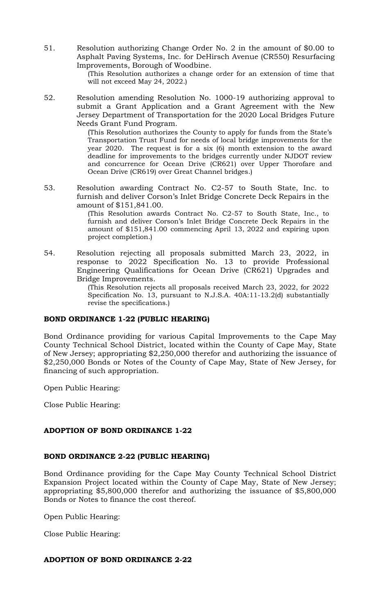51. Resolution authorizing Change Order No. 2 in the amount of \$0.00 to Asphalt Paving Systems, Inc. for DeHirsch Avenue (CR550) Resurfacing Improvements, Borough of Woodbine.

(This Resolution authorizes a change order for an extension of time that will not exceed May 24, 2022.)

52. Resolution amending Resolution No. 1000-19 authorizing approval to submit a Grant Application and a Grant Agreement with the New Jersey Department of Transportation for the 2020 Local Bridges Future Needs Grant Fund Program.

> (This Resolution authorizes the County to apply for funds from the State's Transportation Trust Fund for needs of local bridge improvements for the year 2020. The request is for a six (6) month extension to the award deadline for improvements to the bridges currently under NJDOT review and concurrence for Ocean Drive (CR621) over Upper Thorofare and Ocean Drive (CR619) over Great Channel bridges.)

53. Resolution awarding Contract No. C2-57 to South State, Inc. to furnish and deliver Corson's Inlet Bridge Concrete Deck Repairs in the amount of \$151,841.00.

(This Resolution awards Contract No. C2-57 to South State, Inc., to furnish and deliver Corson's Inlet Bridge Concrete Deck Repairs in the amount of \$151,841.00 commencing April 13, 2022 and expiring upon project completion.)

54. Resolution rejecting all proposals submitted March 23, 2022, in response to 2022 Specification No. 13 to provide Professional Engineering Qualifications for Ocean Drive (CR621) Upgrades and Bridge Improvements.

(This Resolution rejects all proposals received March 23, 2022, for 2022 Specification No. 13, pursuant to N.J.S.A. 40A:11-13.2(d) substantially revise the specifications.)

# **BOND ORDINANCE 1-22 (PUBLIC HEARING)**

Bond Ordinance providing for various Capital Improvements to the Cape May County Technical School District, located within the County of Cape May, State of New Jersey; appropriating \$2,250,000 therefor and authorizing the issuance of \$2,250,000 Bonds or Notes of the County of Cape May, State of New Jersey, for financing of such appropriation.

Open Public Hearing:

Close Public Hearing:

### **ADOPTION OF BOND ORDINANCE 1-22**

### **BOND ORDINANCE 2-22 (PUBLIC HEARING)**

Bond Ordinance providing for the Cape May County Technical School District Expansion Project located within the County of Cape May, State of New Jersey; appropriating \$5,800,000 therefor and authorizing the issuance of \$5,800,000 Bonds or Notes to finance the cost thereof.

Open Public Hearing:

Close Public Hearing:

### **ADOPTION OF BOND ORDINANCE 2-22**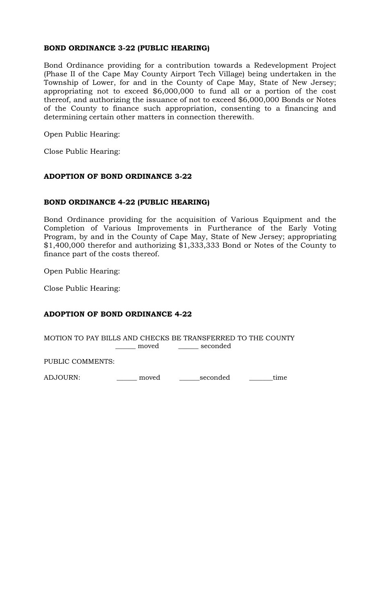## **BOND ORDINANCE 3-22 (PUBLIC HEARING)**

Bond Ordinance providing for a contribution towards a Redevelopment Project (Phase II of the Cape May County Airport Tech Village) being undertaken in the Township of Lower, for and in the County of Cape May, State of New Jersey; appropriating not to exceed \$6,000,000 to fund all or a portion of the cost thereof, and authorizing the issuance of not to exceed \$6,000,000 Bonds or Notes of the County to finance such appropriation, consenting to a financing and determining certain other matters in connection therewith.

Open Public Hearing:

Close Public Hearing:

# **ADOPTION OF BOND ORDINANCE 3-22**

### **BOND ORDINANCE 4-22 (PUBLIC HEARING)**

Bond Ordinance providing for the acquisition of Various Equipment and the Completion of Various Improvements in Furtherance of the Early Voting Program, by and in the County of Cape May, State of New Jersey; appropriating \$1,400,000 therefor and authorizing \$1,333,333 Bond or Notes of the County to finance part of the costs thereof.

Open Public Hearing:

Close Public Hearing:

# **ADOPTION OF BOND ORDINANCE 4-22**

MOTION TO PAY BILLS AND CHECKS BE TRANSFERRED TO THE COUNTY \_\_\_\_\_\_ moved \_\_\_\_\_\_ seconded

PUBLIC COMMENTS:

ADJOURN: \_\_\_\_\_\_\_\_ moved \_\_\_\_\_\_seconded \_\_\_\_\_\_time